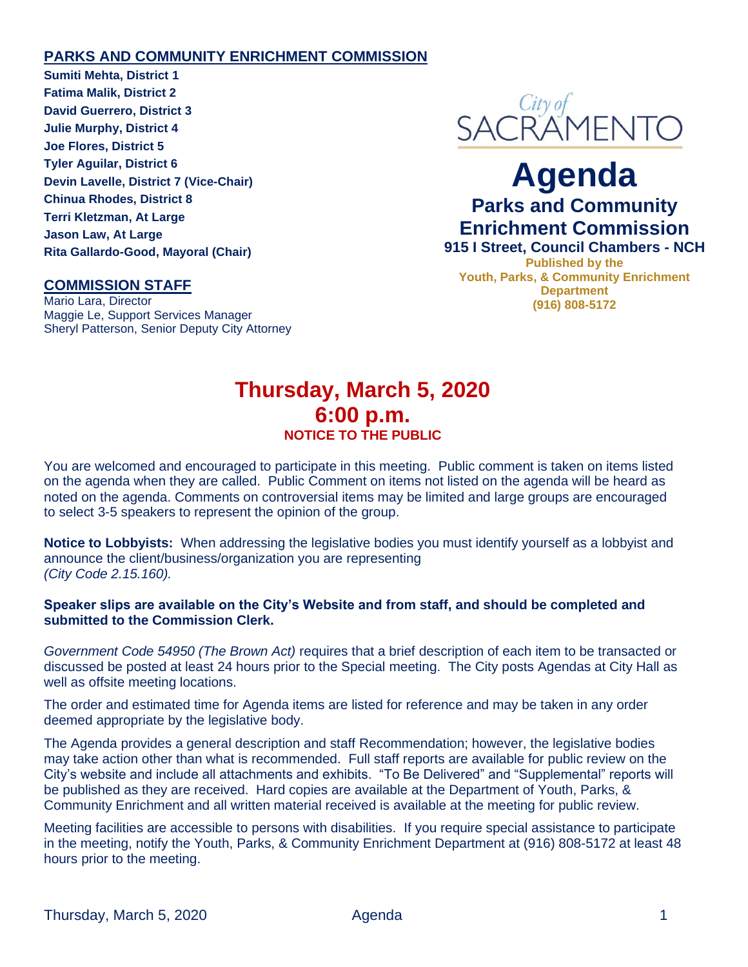#### **PARKS AND COMMUNITY ENRICHMENT COMMISSION**

**Sumiti Mehta, District 1 Fatima Malik, District 2 David Guerrero, District 3 Julie Murphy, District 4 Joe Flores, District 5 Tyler Aguilar, District 6 Devin Lavelle, District 7 (Vice-Chair) Chinua Rhodes, District 8 Terri Kletzman, At Large Jason Law, At Large Rita Gallardo-Good, Mayoral (Chair)**

#### **COMMISSION STAFF**

Mario Lara, Director Maggie Le, Support Services Manager Sheryl Patterson, Senior Deputy City Attorney



# **Agenda Parks and Community Enrichment Commission**

**915 I Street, Council Chambers - NCH Published by the Youth, Parks, & Community Enrichment Department (916) 808-5172**

### **Thursday, March 5, 2020 6:00 p.m. NOTICE TO THE PUBLIC**

You are welcomed and encouraged to participate in this meeting. Public comment is taken on items listed on the agenda when they are called. Public Comment on items not listed on the agenda will be heard as noted on the agenda. Comments on controversial items may be limited and large groups are encouraged to select 3-5 speakers to represent the opinion of the group.

**Notice to Lobbyists:** When addressing the legislative bodies you must identify yourself as a lobbyist and announce the client/business/organization you are representing *(City Code 2.15.160).*

#### **Speaker slips are available on the City's Website and from staff, and should be completed and submitted to the Commission Clerk.**

*Government Code 54950 (The Brown Act)* requires that a brief description of each item to be transacted or discussed be posted at least 24 hours prior to the Special meeting. The City posts Agendas at City Hall as well as offsite meeting locations.

The order and estimated time for Agenda items are listed for reference and may be taken in any order deemed appropriate by the legislative body.

The Agenda provides a general description and staff Recommendation; however, the legislative bodies may take action other than what is recommended. Full staff reports are available for public review on the City's website and include all attachments and exhibits. "To Be Delivered" and "Supplemental" reports will be published as they are received. Hard copies are available at the Department of Youth, Parks, & Community Enrichment and all written material received is available at the meeting for public review.

Meeting facilities are accessible to persons with disabilities. If you require special assistance to participate in the meeting, notify the Youth, Parks, & Community Enrichment Department at (916) 808-5172 at least 48 hours prior to the meeting.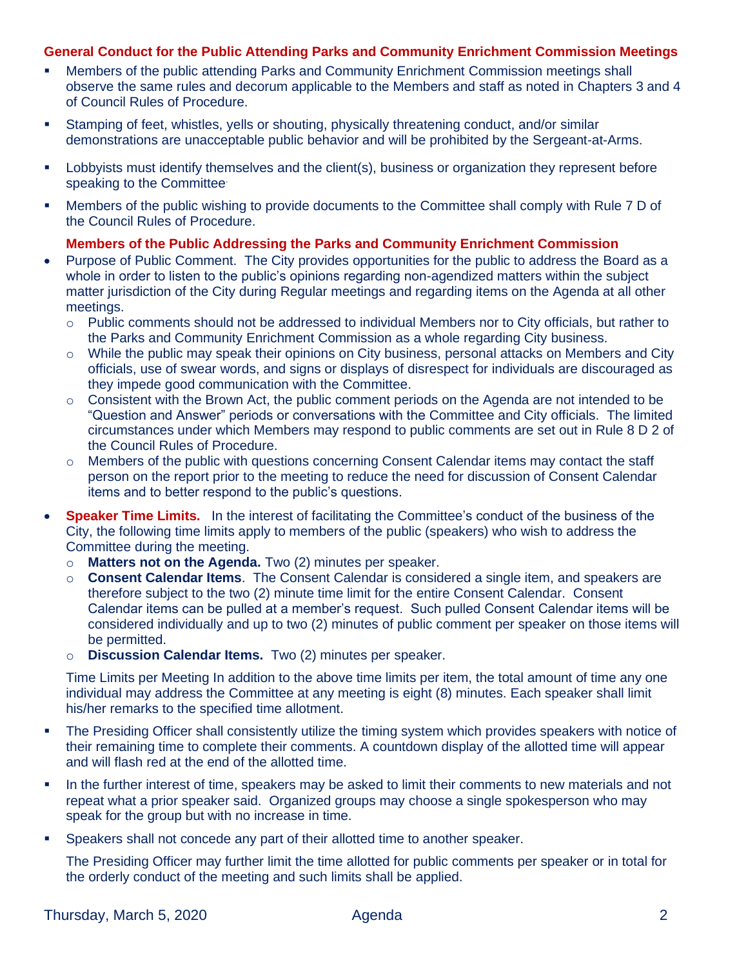#### **General Conduct for the Public Attending Parks and Community Enrichment Commission Meetings**

- **■** Members of the public attending Parks and Community Enrichment Commission meetings shall observe the same rules and decorum applicable to the Members and staff as noted in Chapters 3 and 4 of Council Rules of Procedure.
- **EXECT** Stamping of feet, whistles, yells or shouting, physically threatening conduct, and/or similar demonstrations are unacceptable public behavior and will be prohibited by the Sergeant-at-Arms.
- Lobbyists must identify themselves and the client(s), business or organization they represent before speaking to the Committee.
- Members of the public wishing to provide documents to the Committee shall comply with Rule 7 D of the Council Rules of Procedure.

#### **Members of the Public Addressing the Parks and Community Enrichment Commission**

- Purpose of Public Comment. The City provides opportunities for the public to address the Board as a whole in order to listen to the public's opinions regarding non-agendized matters within the subject matter jurisdiction of the City during Regular meetings and regarding items on the Agenda at all other meetings.
	- $\circ$  Public comments should not be addressed to individual Members nor to City officials, but rather to the Parks and Community Enrichment Commission as a whole regarding City business.
	- $\circ$  While the public may speak their opinions on City business, personal attacks on Members and City officials, use of swear words, and signs or displays of disrespect for individuals are discouraged as they impede good communication with the Committee.
	- $\circ$  Consistent with the Brown Act, the public comment periods on the Agenda are not intended to be "Question and Answer" periods or conversations with the Committee and City officials. The limited circumstances under which Members may respond to public comments are set out in Rule 8 D 2 of the Council Rules of Procedure.
	- o Members of the public with questions concerning Consent Calendar items may contact the staff person on the report prior to the meeting to reduce the need for discussion of Consent Calendar items and to better respond to the public's questions.
- **Speaker Time Limits.** In the interest of facilitating the Committee's conduct of the business of the City, the following time limits apply to members of the public (speakers) who wish to address the Committee during the meeting.
	- o **Matters not on the Agenda.** Two (2) minutes per speaker.
	- o **Consent Calendar Items**. The Consent Calendar is considered a single item, and speakers are therefore subject to the two (2) minute time limit for the entire Consent Calendar. Consent Calendar items can be pulled at a member's request. Such pulled Consent Calendar items will be considered individually and up to two (2) minutes of public comment per speaker on those items will be permitted.
	- o **Discussion Calendar Items.** Two (2) minutes per speaker.

Time Limits per Meeting In addition to the above time limits per item, the total amount of time any one individual may address the Committee at any meeting is eight (8) minutes. Each speaker shall limit his/her remarks to the specified time allotment.

- The Presiding Officer shall consistently utilize the timing system which provides speakers with notice of their remaining time to complete their comments. A countdown display of the allotted time will appear and will flash red at the end of the allotted time.
- In the further interest of time, speakers may be asked to limit their comments to new materials and not repeat what a prior speaker said. Organized groups may choose a single spokesperson who may speak for the group but with no increase in time.
- **•** Speakers shall not concede any part of their allotted time to another speaker.

The Presiding Officer may further limit the time allotted for public comments per speaker or in total for the orderly conduct of the meeting and such limits shall be applied.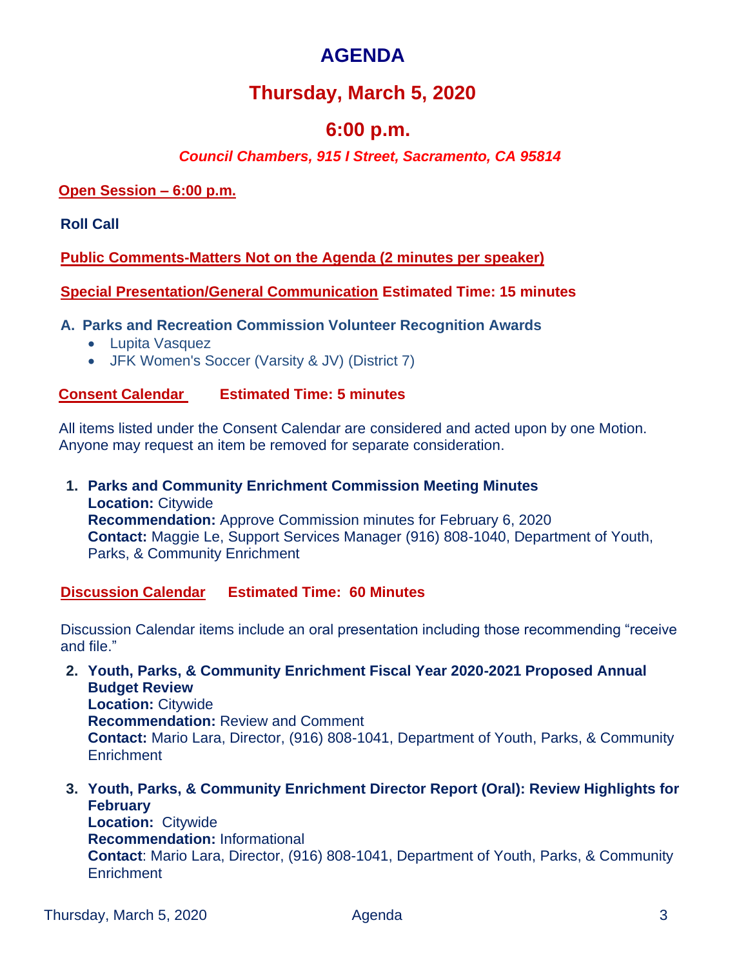# **AGENDA**

# **Thursday, March 5, 2020**

### **6:00 p.m.**

### *Council Chambers, 915 I Street, Sacramento, CA 95814*

#### **Open Session – 6:00 p.m.**

**Roll Call** 

**Public Comments-Matters Not on the Agenda (2 minutes per speaker)**

**Special Presentation/General Communication Estimated Time: 15 minutes**

**A. Parks and Recreation Commission Volunteer Recognition Awards**

- Lupita Vasquez
- JFK Women's Soccer (Varsity & JV) (District 7)

#### **Consent Calendar Estimated Time: 5 minutes**

All items listed under the Consent Calendar are considered and acted upon by one Motion. Anyone may request an item be removed for separate consideration.

**1. Parks and Community Enrichment Commission Meeting Minutes Location:** Citywide **Recommendation:** Approve Commission minutes for February 6, 2020 **Contact:** Maggie Le, Support Services Manager (916) 808-1040, Department of Youth, Parks, & Community Enrichment

**Discussion Calendar Estimated Time: 60 Minutes**

Discussion Calendar items include an oral presentation including those recommending "receive and file."

- **2. Youth, Parks, & Community Enrichment Fiscal Year 2020-2021 Proposed Annual Budget Review Location:** Citywide **Recommendation:** Review and Comment **Contact:** Mario Lara, Director, (916) 808-1041, Department of Youth, Parks, & Community **Enrichment**
- **3. Youth, Parks, & Community Enrichment Director Report (Oral): Review Highlights for February Location:** Citywide **Recommendation:** Informational

**Contact**: Mario Lara, Director, (916) 808-1041, Department of Youth, Parks, & Community **Enrichment**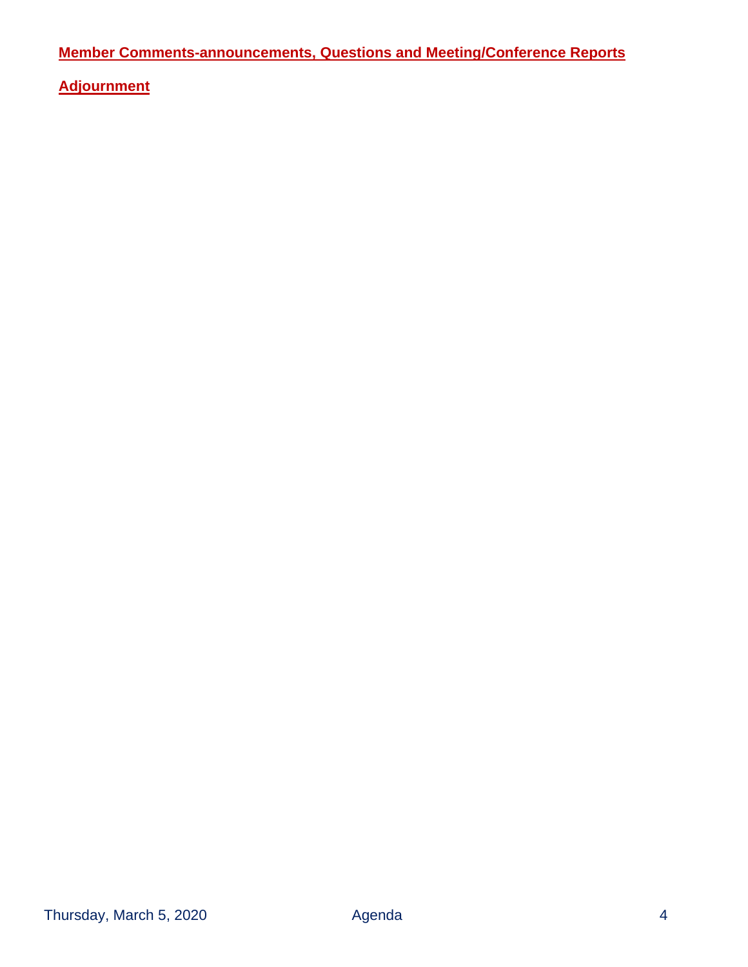**Member Comments-announcements, Questions and Meeting/Conference Reports**

**Adjournment**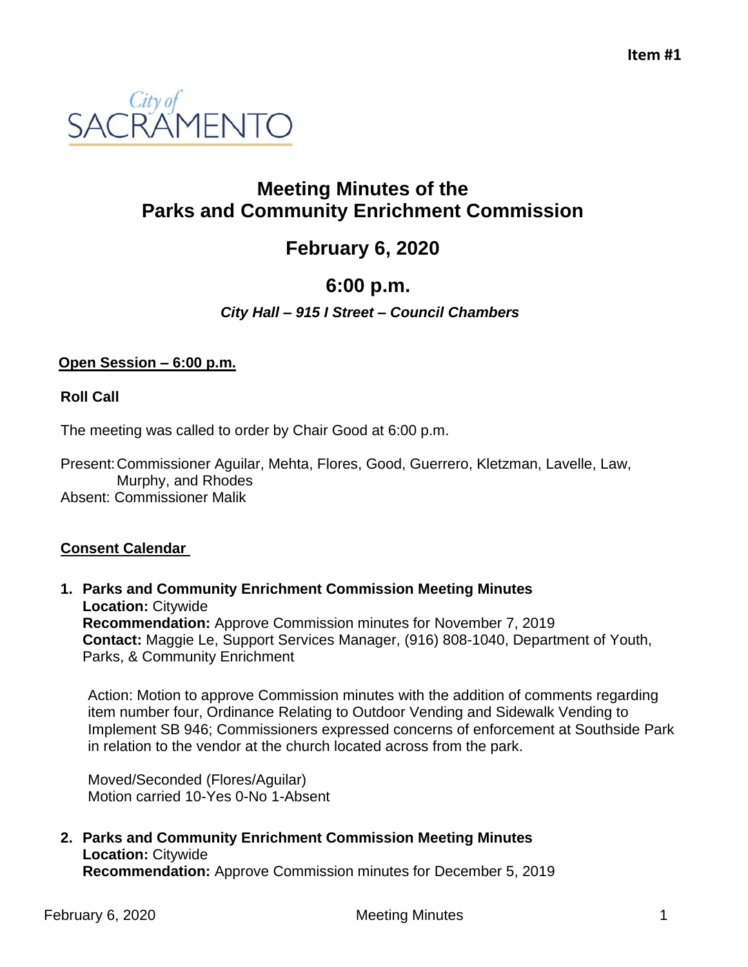

## **Meeting Minutes of the Parks and Community Enrichment Commission**

# **February 6, 2020**

# **6:00 p.m.**

### *City Hall – 915 I Street – Council Chambers*

#### **Open Session – 6:00 p.m.**

**Roll Call** 

The meeting was called to order by Chair Good at 6:00 p.m.

Present:Commissioner Aguilar, Mehta, Flores, Good, Guerrero, Kletzman, Lavelle, Law, Murphy, and Rhodes Absent: Commissioner Malik

### **Consent Calendar**

**1. Parks and Community Enrichment Commission Meeting Minutes Location:** Citywide **Recommendation:** Approve Commission minutes for November 7, 2019 **Contact:** Maggie Le, Support Services Manager, (916) 808-1040, Department of Youth, Parks, & Community Enrichment

Action: Motion to approve Commission minutes with the addition of comments regarding item number four, Ordinance Relating to Outdoor Vending and Sidewalk Vending to Implement SB 946; Commissioners expressed concerns of enforcement at Southside Park in relation to the vendor at the church located across from the park.

Moved/Seconded (Flores/Aguilar) Motion carried 10-Yes 0-No 1-Absent

**2. Parks and Community Enrichment Commission Meeting Minutes Location:** Citywide **Recommendation:** Approve Commission minutes for December 5, 2019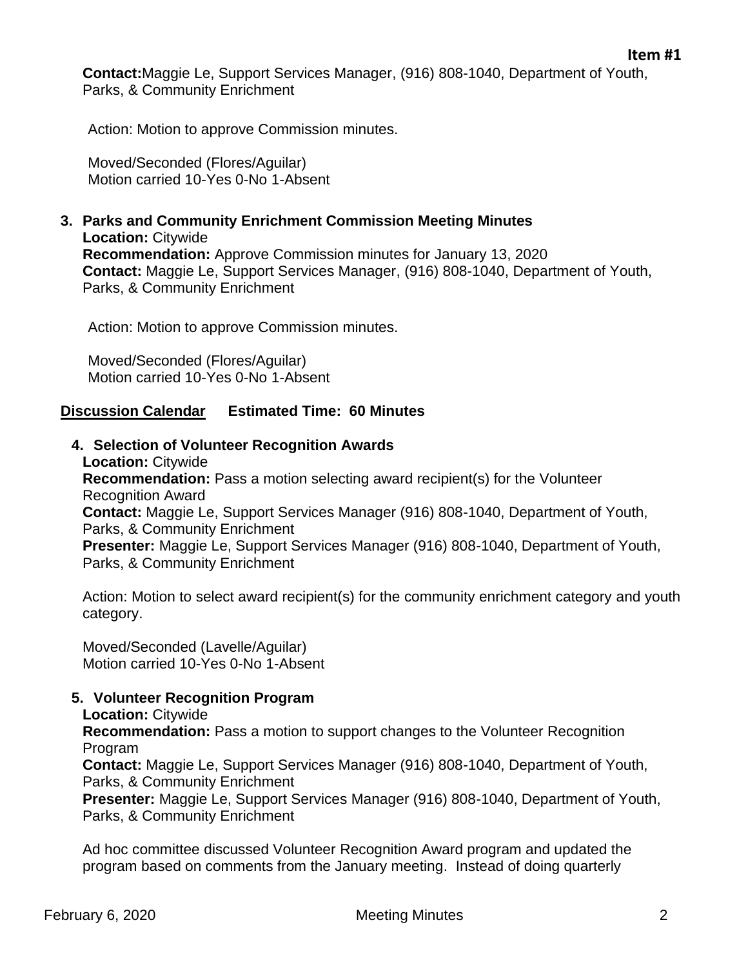**Contact:**Maggie Le, Support Services Manager, (916) 808-1040, Department of Youth, Parks, & Community Enrichment

Action: Motion to approve Commission minutes.

Moved/Seconded (Flores/Aguilar) Motion carried 10-Yes 0-No 1-Absent

**3. Parks and Community Enrichment Commission Meeting Minutes Location:** Citywide **Recommendation:** Approve Commission minutes for January 13, 2020 **Contact:** Maggie Le, Support Services Manager, (916) 808-1040, Department of Youth, Parks, & Community Enrichment

Action: Motion to approve Commission minutes.

Moved/Seconded (Flores/Aguilar) Motion carried 10-Yes 0-No 1-Absent

#### **Discussion Calendar Estimated Time: 60 Minutes**

**4. Selection of Volunteer Recognition Awards**

**Location:** Citywide **Recommendation:** Pass a motion selecting award recipient(s) for the Volunteer Recognition Award **Contact:** Maggie Le, Support Services Manager (916) 808-1040, Department of Youth, Parks, & Community Enrichment **Presenter:** Maggie Le, Support Services Manager (916) 808-1040, Department of Youth, Parks, & Community Enrichment

Action: Motion to select award recipient(s) for the community enrichment category and youth category.

Moved/Seconded (Lavelle/Aguilar) Motion carried 10-Yes 0-No 1-Absent

#### **5. Volunteer Recognition Program**

**Location:** Citywide

**Recommendation:** Pass a motion to support changes to the Volunteer Recognition Program

**Contact:** Maggie Le, Support Services Manager (916) 808-1040, Department of Youth, Parks, & Community Enrichment

**Presenter:** Maggie Le, Support Services Manager (916) 808-1040, Department of Youth, Parks, & Community Enrichment

Ad hoc committee discussed Volunteer Recognition Award program and updated the program based on comments from the January meeting. Instead of doing quarterly

**Item #1**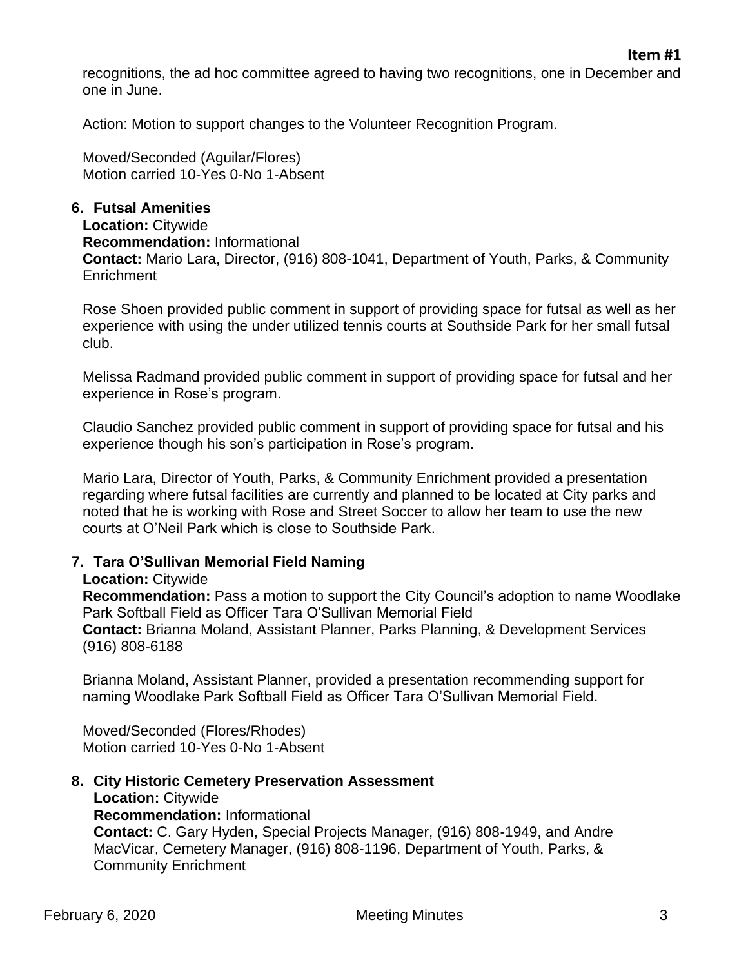recognitions, the ad hoc committee agreed to having two recognitions, one in December and one in June.

Action: Motion to support changes to the Volunteer Recognition Program.

Moved/Seconded (Aguilar/Flores) Motion carried 10-Yes 0-No 1-Absent

#### **6. Futsal Amenities**

**Location:** Citywide **Recommendation:** Informational **Contact:** Mario Lara, Director, (916) 808-1041, Department of Youth, Parks, & Community **Enrichment** 

Rose Shoen provided public comment in support of providing space for futsal as well as her experience with using the under utilized tennis courts at Southside Park for her small futsal club.

Melissa Radmand provided public comment in support of providing space for futsal and her experience in Rose's program.

Claudio Sanchez provided public comment in support of providing space for futsal and his experience though his son's participation in Rose's program.

Mario Lara, Director of Youth, Parks, & Community Enrichment provided a presentation regarding where futsal facilities are currently and planned to be located at City parks and noted that he is working with Rose and Street Soccer to allow her team to use the new courts at O'Neil Park which is close to Southside Park.

#### **7. Tara O'Sullivan Memorial Field Naming**

#### **Location:** Citywide

**Recommendation:** Pass a motion to support the City Council's adoption to name Woodlake Park Softball Field as Officer Tara O'Sullivan Memorial Field **Contact:** Brianna Moland, Assistant Planner, Parks Planning, & Development Services (916) 808-6188

Brianna Moland, Assistant Planner, provided a presentation recommending support for naming Woodlake Park Softball Field as Officer Tara O'Sullivan Memorial Field.

Moved/Seconded (Flores/Rhodes) Motion carried 10-Yes 0-No 1-Absent

**8. City Historic Cemetery Preservation Assessment Location:** Citywide **Recommendation:** Informational **Contact:** C. Gary Hyden, Special Projects Manager, (916) 808-1949, and Andre MacVicar, Cemetery Manager, (916) 808-1196, Department of Youth, Parks, & Community Enrichment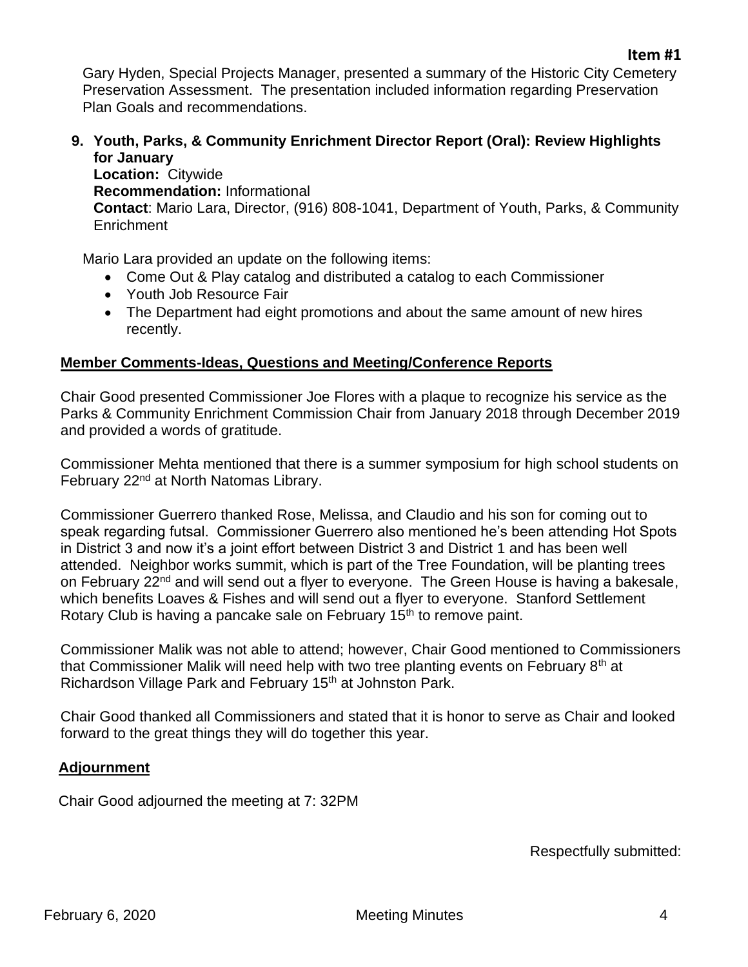Gary Hyden, Special Projects Manager, presented a summary of the Historic City Cemetery Preservation Assessment. The presentation included information regarding Preservation Plan Goals and recommendations.

**9. Youth, Parks, & Community Enrichment Director Report (Oral): Review Highlights for January**

**Location:** Citywide **Recommendation:** Informational **Contact**: Mario Lara, Director, (916) 808-1041, Department of Youth, Parks, & Community **Enrichment** 

Mario Lara provided an update on the following items:

- Come Out & Play catalog and distributed a catalog to each Commissioner
- Youth Job Resource Fair
- The Department had eight promotions and about the same amount of new hires recently.

#### **Member Comments-Ideas, Questions and Meeting/Conference Reports**

Chair Good presented Commissioner Joe Flores with a plaque to recognize his service as the Parks & Community Enrichment Commission Chair from January 2018 through December 2019 and provided a words of gratitude.

Commissioner Mehta mentioned that there is a summer symposium for high school students on February 22<sup>nd</sup> at North Natomas Library.

Commissioner Guerrero thanked Rose, Melissa, and Claudio and his son for coming out to speak regarding futsal. Commissioner Guerrero also mentioned he's been attending Hot Spots in District 3 and now it's a joint effort between District 3 and District 1 and has been well attended. Neighbor works summit, which is part of the Tree Foundation, will be planting trees on February 22<sup>nd</sup> and will send out a flyer to everyone. The Green House is having a bakesale, which benefits Loaves & Fishes and will send out a flyer to everyone. Stanford Settlement Rotary Club is having a pancake sale on February 15<sup>th</sup> to remove paint.

Commissioner Malik was not able to attend; however, Chair Good mentioned to Commissioners that Commissioner Malik will need help with two tree planting events on February  $8<sup>th</sup>$  at Richardson Village Park and February 15<sup>th</sup> at Johnston Park.

Chair Good thanked all Commissioners and stated that it is honor to serve as Chair and looked forward to the great things they will do together this year.

#### **Adjournment**

Chair Good adjourned the meeting at 7: 32PM

Respectfully submitted: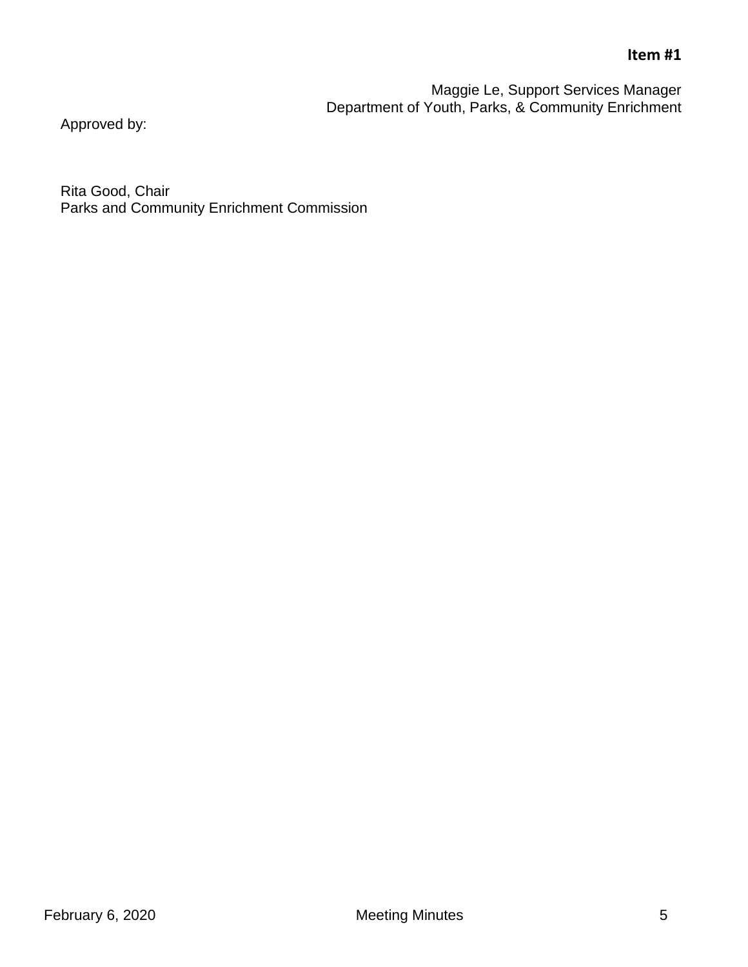### **Item #1**

Maggie Le, Support Services Manager Department of Youth, Parks, & Community Enrichment

Approved by:

Rita Good, Chair Parks and Community Enrichment Commission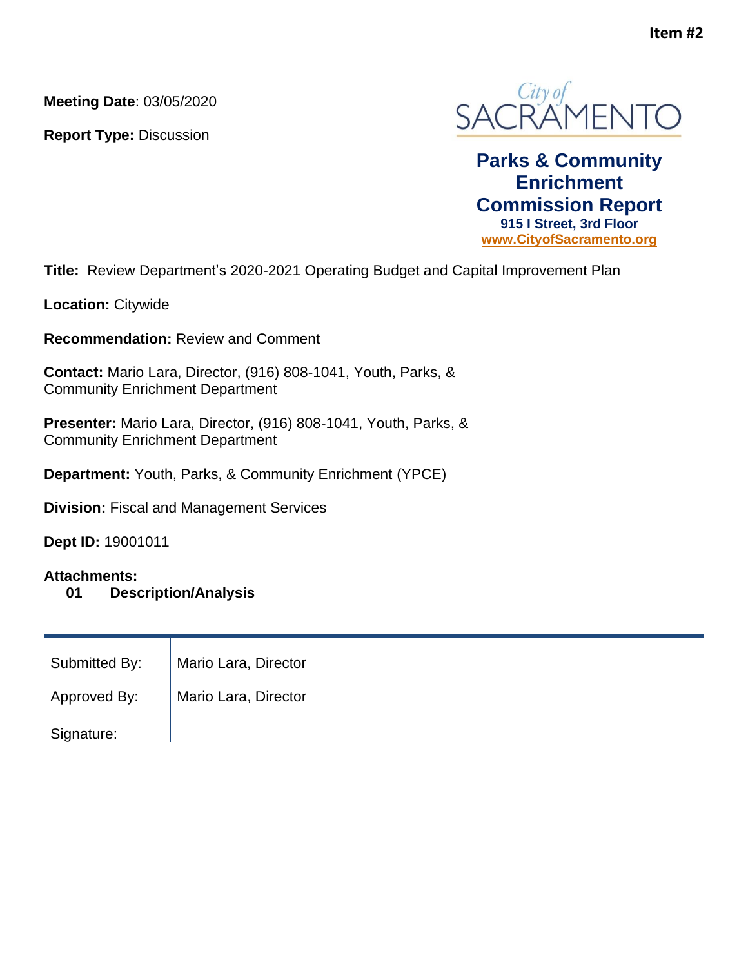**Meeting Date**: 03/05/2020

**Report Type:** Discussion



**Parks & Community Enrichment Commission Report 915 I Street, 3rd Floor [www.CityofSacramento.org](http://www.cityofsacramento.org/)**

**Title:** Review Department's 2020-2021 Operating Budget and Capital Improvement Plan

**Location:** Citywide

**Recommendation:** Review and Comment

**Contact:** Mario Lara, Director, (916) 808-1041, Youth, Parks, & Community Enrichment Department

**Presenter:** Mario Lara, Director, (916) 808-1041, Youth, Parks, & Community Enrichment Department

**Department:** Youth, Parks, & Community Enrichment (YPCE)

**Division:** Fiscal and Management Services

**Dept ID:** 19001011

#### **Attachments:**

**01 Description/Analysis**

| Submitted By: | Mario Lara, Director |
|---------------|----------------------|
| Approved By:  | Mario Lara, Director |
| Signature:    |                      |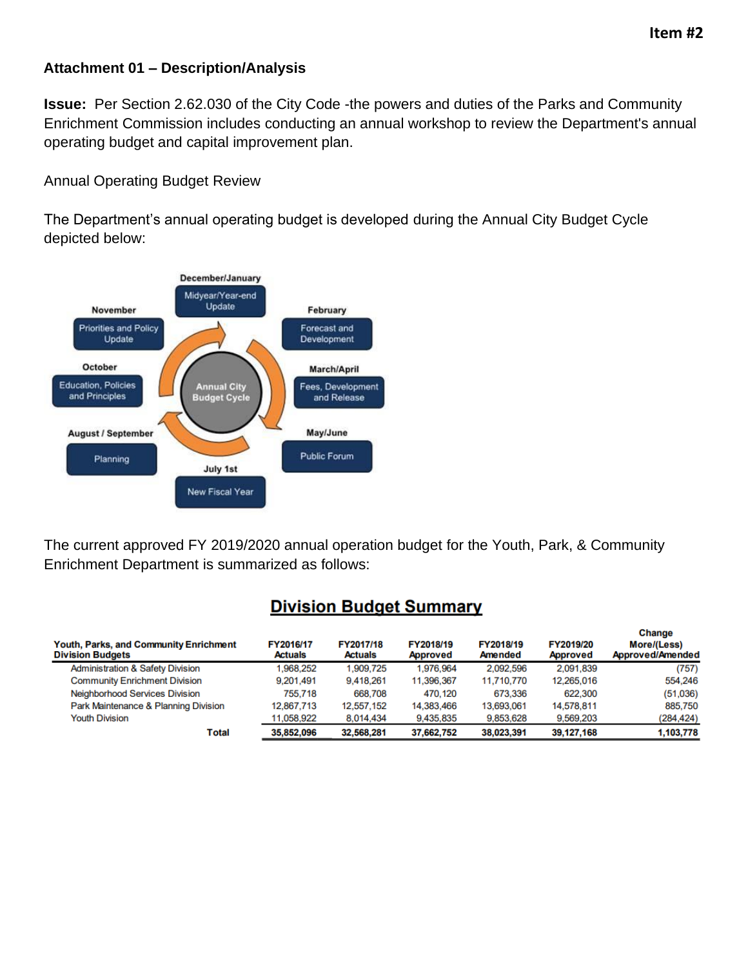#### **Attachment 01 – Description/Analysis**

**Issue:** Per Section 2.62.030 of the City Code -the powers and duties of the Parks and Community Enrichment Commission includes conducting an annual workshop to review the Department's annual operating budget and capital improvement plan.

Annual Operating Budget Review

The Department's annual operating budget is developed during the Annual City Budget Cycle depicted below:



The current approved FY 2019/2020 annual operation budget for the Youth, Park, & Community Enrichment Department is summarized as follows:

### **Division Budget Summary**

| <b>Youth, Parks, and Community Enrichment</b><br><b>Division Budgets</b> | FY2016/17<br><b>Actuals</b> | FY2017/18<br><b>Actuals</b> | FY2018/19<br><b>Approved</b> | FY2018/19<br>Amended | FY2019/20<br><b>Approved</b> | Change<br>More/(Less)<br>Approved/Amended |
|--------------------------------------------------------------------------|-----------------------------|-----------------------------|------------------------------|----------------------|------------------------------|-------------------------------------------|
| <b>Administration &amp; Safety Division</b>                              | .968,252                    | 1,909,725                   | 1,976,964                    | 2.092,596            | 2.091.839                    | (757)                                     |
| <b>Community Enrichment Division</b>                                     | 9,201,491                   | 9,418,261                   | 11,396,367                   | 11,710,770           | 12,265,016                   | 554,246                                   |
| <b>Neighborhood Services Division</b>                                    | 755,718                     | 668,708                     | 470.120                      | 673,336              | 622,300                      | (51,036)                                  |
| Park Maintenance & Planning Division                                     | 12,867,713                  | 12,557,152                  | 14,383,466                   | 13,693,061           | 14,578,811                   | 885,750                                   |
| <b>Youth Division</b>                                                    | 11,058,922                  | 8,014,434                   | 9,435,835                    | 9,853,628            | 9,569,203                    | (284, 424)                                |
| Total                                                                    | 35,852,096                  | 32,568,281                  | 37,662,752                   | 38,023,391           | 39,127,168                   | 1,103,778                                 |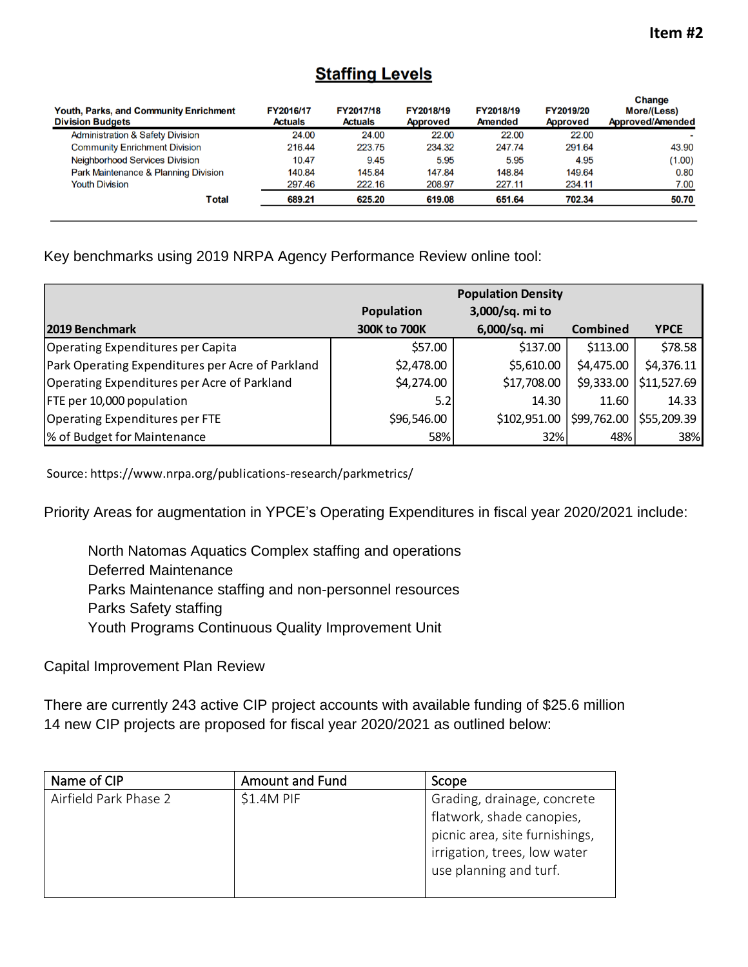### **Staffing Levels**

| <b>Youth, Parks, and Community Enrichment</b><br><b>Division Budgets</b> | FY2016/17<br><b>Actuals</b> | FY2017/18<br><b>Actuals</b> | FY2018/19<br><b>Approved</b> | FY2018/19<br>Amended | FY2019/20<br><b>Approved</b> | <b>Change</b><br><b>More/(Less)</b><br>Approved/Amended |
|--------------------------------------------------------------------------|-----------------------------|-----------------------------|------------------------------|----------------------|------------------------------|---------------------------------------------------------|
| <b>Administration &amp; Safety Division</b>                              | 24.00                       | 24.00                       | 22.00                        | 22.00                | 22.00                        |                                                         |
| <b>Community Enrichment Division</b>                                     | 216.44                      | 223.75                      | 234.32                       | 247.74               | 291.64                       | 43.90                                                   |
| <b>Neighborhood Services Division</b>                                    | 10.47                       | 9.45                        | 5.95                         | 5.95                 | 4.95                         | (1.00)                                                  |
| Park Maintenance & Planning Division                                     | 140.84                      | 145.84                      | 147.84                       | 148.84               | 149.64                       | 0.80                                                    |
| <b>Youth Division</b>                                                    | 297.46                      | 222.16                      | 208.97                       | 227.11               | 234.11                       | 7.00                                                    |
| Total                                                                    | 689.21                      | 625.20                      | 619.08                       | 651.64               | 702.34                       | 50.70                                                   |

### Key benchmarks using 2019 NRPA Agency Performance Review online tool:

|                                                  | <b>Population Density</b> |                 |                           |                           |
|--------------------------------------------------|---------------------------|-----------------|---------------------------|---------------------------|
|                                                  | <b>Population</b>         | 3,000/sq. mi to |                           |                           |
| 2019 Benchmark                                   | 300K to 700K              | 6,000/sq. mi    | <b>Combined</b>           | <b>YPCE</b>               |
| <b>Operating Expenditures per Capita</b>         | \$57.00                   | \$137.00        | \$113.00                  | \$78.58                   |
| Park Operating Expenditures per Acre of Parkland | \$2,478.00                | \$5,610.00      | \$4,475.00                | \$4,376.11                |
| Operating Expenditures per Acre of Parkland      | \$4,274.00                | \$17,708.00     | \$9,333.00                | $\frac{1}{2}$ \$11,527.69 |
| FTE per 10,000 population                        | 5.2                       | 14.30           | 11.60                     | 14.33                     |
| <b>Operating Expenditures per FTE</b>            | \$96,546.00               | \$102,951.00    | $$99,762.00$ $$55,209.39$ |                           |
| % of Budget for Maintenance                      | 58%                       | 32%             | 48%                       | 38%                       |

Source: https://www.nrpa.org/publications-research/parkmetrics/

Priority Areas for augmentation in YPCE's Operating Expenditures in fiscal year 2020/2021 include:

North Natomas Aquatics Complex staffing and operations Deferred Maintenance Parks Maintenance staffing and non-personnel resources Parks Safety staffing Youth Programs Continuous Quality Improvement Unit

Capital Improvement Plan Review

There are currently 243 active CIP project accounts with available funding of \$25.6 million 14 new CIP projects are proposed for fiscal year 2020/2021 as outlined below:

| Name of CIP           | <b>Amount and Fund</b> | Scope                          |
|-----------------------|------------------------|--------------------------------|
| Airfield Park Phase 2 | $$1.4M$ PIF            | Grading, drainage, concrete    |
|                       |                        | flatwork, shade canopies,      |
|                       |                        | picnic area, site furnishings, |
|                       |                        | irrigation, trees, low water   |
|                       |                        | use planning and turf.         |
|                       |                        |                                |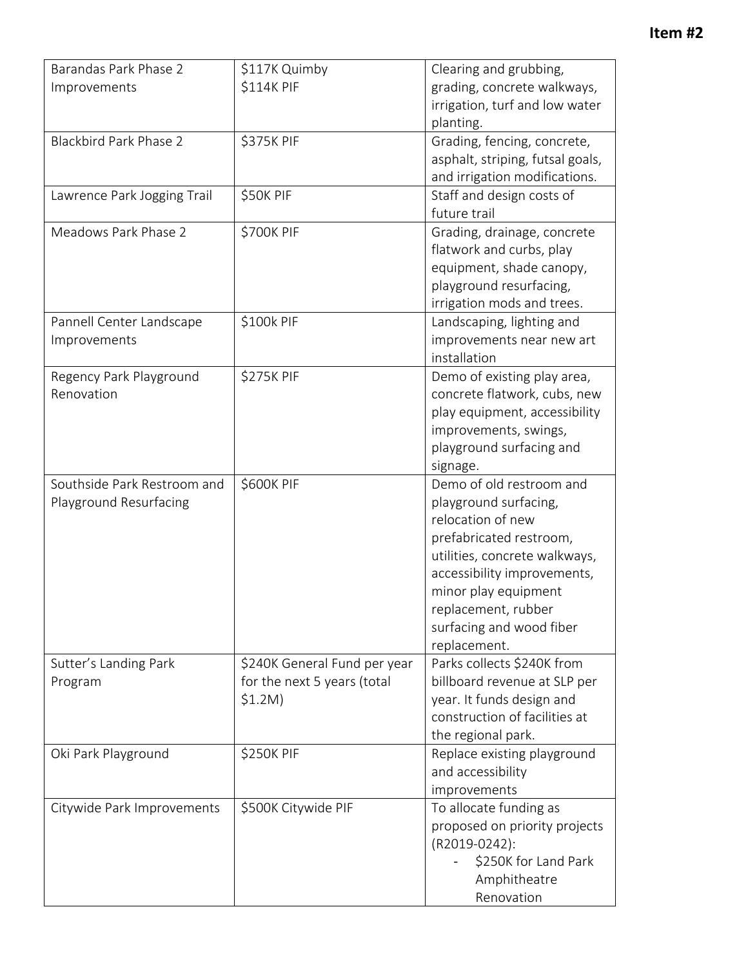| \$114K PIF<br>grading, concrete walkways,<br>Improvements<br>irrigation, turf and low water<br>planting.<br>\$375K PIF<br><b>Blackbird Park Phase 2</b><br>Grading, fencing, concrete,<br>asphalt, striping, futsal goals,<br>and irrigation modifications.<br>\$50K PIF<br>Staff and design costs of<br>Lawrence Park Jogging Trail<br>future trail<br>Meadows Park Phase 2<br>\$700K PIF<br>Grading, drainage, concrete<br>flatwork and curbs, play<br>equipment, shade canopy,<br>playground resurfacing,<br>irrigation mods and trees.<br>\$100k PIF<br>Landscaping, lighting and<br>Pannell Center Landscape<br>improvements near new art<br>Improvements<br>installation<br>\$275K PIF<br>Regency Park Playground<br>Demo of existing play area,<br>Renovation<br>concrete flatwork, cubs, new<br>play equipment, accessibility<br>improvements, swings,<br>playground surfacing and<br>signage.<br>Demo of old restroom and<br>\$600K PIF<br>Southside Park Restroom and<br>playground surfacing,<br>Playground Resurfacing<br>relocation of new<br>prefabricated restroom,<br>utilities, concrete walkways,<br>accessibility improvements,<br>minor play equipment<br>replacement, rubber<br>surfacing and wood fiber<br>replacement.<br>Parks collects \$240K from<br>Sutter's Landing Park<br>\$240K General Fund per year<br>for the next 5 years (total<br>billboard revenue at SLP per<br>Program<br>\$1.2M)<br>year. It funds design and<br>construction of facilities at<br>the regional park.<br><b>\$250K PIF</b><br>Oki Park Playground<br>Replace existing playground<br>and accessibility<br>improvements<br>\$500K Citywide PIF<br>Citywide Park Improvements<br>To allocate funding as<br>proposed on priority projects<br>(R2019-0242):<br>\$250K for Land Park<br>Amphitheatre<br>Renovation | Barandas Park Phase 2 | \$117K Quimby | Clearing and grubbing, |
|----------------------------------------------------------------------------------------------------------------------------------------------------------------------------------------------------------------------------------------------------------------------------------------------------------------------------------------------------------------------------------------------------------------------------------------------------------------------------------------------------------------------------------------------------------------------------------------------------------------------------------------------------------------------------------------------------------------------------------------------------------------------------------------------------------------------------------------------------------------------------------------------------------------------------------------------------------------------------------------------------------------------------------------------------------------------------------------------------------------------------------------------------------------------------------------------------------------------------------------------------------------------------------------------------------------------------------------------------------------------------------------------------------------------------------------------------------------------------------------------------------------------------------------------------------------------------------------------------------------------------------------------------------------------------------------------------------------------------------------------------------------------------------------------------------------------|-----------------------|---------------|------------------------|
|                                                                                                                                                                                                                                                                                                                                                                                                                                                                                                                                                                                                                                                                                                                                                                                                                                                                                                                                                                                                                                                                                                                                                                                                                                                                                                                                                                                                                                                                                                                                                                                                                                                                                                                                                                                                                      |                       |               |                        |
|                                                                                                                                                                                                                                                                                                                                                                                                                                                                                                                                                                                                                                                                                                                                                                                                                                                                                                                                                                                                                                                                                                                                                                                                                                                                                                                                                                                                                                                                                                                                                                                                                                                                                                                                                                                                                      |                       |               |                        |
|                                                                                                                                                                                                                                                                                                                                                                                                                                                                                                                                                                                                                                                                                                                                                                                                                                                                                                                                                                                                                                                                                                                                                                                                                                                                                                                                                                                                                                                                                                                                                                                                                                                                                                                                                                                                                      |                       |               |                        |
|                                                                                                                                                                                                                                                                                                                                                                                                                                                                                                                                                                                                                                                                                                                                                                                                                                                                                                                                                                                                                                                                                                                                                                                                                                                                                                                                                                                                                                                                                                                                                                                                                                                                                                                                                                                                                      |                       |               |                        |
|                                                                                                                                                                                                                                                                                                                                                                                                                                                                                                                                                                                                                                                                                                                                                                                                                                                                                                                                                                                                                                                                                                                                                                                                                                                                                                                                                                                                                                                                                                                                                                                                                                                                                                                                                                                                                      |                       |               |                        |
|                                                                                                                                                                                                                                                                                                                                                                                                                                                                                                                                                                                                                                                                                                                                                                                                                                                                                                                                                                                                                                                                                                                                                                                                                                                                                                                                                                                                                                                                                                                                                                                                                                                                                                                                                                                                                      |                       |               |                        |
|                                                                                                                                                                                                                                                                                                                                                                                                                                                                                                                                                                                                                                                                                                                                                                                                                                                                                                                                                                                                                                                                                                                                                                                                                                                                                                                                                                                                                                                                                                                                                                                                                                                                                                                                                                                                                      |                       |               |                        |
|                                                                                                                                                                                                                                                                                                                                                                                                                                                                                                                                                                                                                                                                                                                                                                                                                                                                                                                                                                                                                                                                                                                                                                                                                                                                                                                                                                                                                                                                                                                                                                                                                                                                                                                                                                                                                      |                       |               |                        |
|                                                                                                                                                                                                                                                                                                                                                                                                                                                                                                                                                                                                                                                                                                                                                                                                                                                                                                                                                                                                                                                                                                                                                                                                                                                                                                                                                                                                                                                                                                                                                                                                                                                                                                                                                                                                                      |                       |               |                        |
|                                                                                                                                                                                                                                                                                                                                                                                                                                                                                                                                                                                                                                                                                                                                                                                                                                                                                                                                                                                                                                                                                                                                                                                                                                                                                                                                                                                                                                                                                                                                                                                                                                                                                                                                                                                                                      |                       |               |                        |
|                                                                                                                                                                                                                                                                                                                                                                                                                                                                                                                                                                                                                                                                                                                                                                                                                                                                                                                                                                                                                                                                                                                                                                                                                                                                                                                                                                                                                                                                                                                                                                                                                                                                                                                                                                                                                      |                       |               |                        |
|                                                                                                                                                                                                                                                                                                                                                                                                                                                                                                                                                                                                                                                                                                                                                                                                                                                                                                                                                                                                                                                                                                                                                                                                                                                                                                                                                                                                                                                                                                                                                                                                                                                                                                                                                                                                                      |                       |               |                        |
|                                                                                                                                                                                                                                                                                                                                                                                                                                                                                                                                                                                                                                                                                                                                                                                                                                                                                                                                                                                                                                                                                                                                                                                                                                                                                                                                                                                                                                                                                                                                                                                                                                                                                                                                                                                                                      |                       |               |                        |
|                                                                                                                                                                                                                                                                                                                                                                                                                                                                                                                                                                                                                                                                                                                                                                                                                                                                                                                                                                                                                                                                                                                                                                                                                                                                                                                                                                                                                                                                                                                                                                                                                                                                                                                                                                                                                      |                       |               |                        |
|                                                                                                                                                                                                                                                                                                                                                                                                                                                                                                                                                                                                                                                                                                                                                                                                                                                                                                                                                                                                                                                                                                                                                                                                                                                                                                                                                                                                                                                                                                                                                                                                                                                                                                                                                                                                                      |                       |               |                        |
|                                                                                                                                                                                                                                                                                                                                                                                                                                                                                                                                                                                                                                                                                                                                                                                                                                                                                                                                                                                                                                                                                                                                                                                                                                                                                                                                                                                                                                                                                                                                                                                                                                                                                                                                                                                                                      |                       |               |                        |
|                                                                                                                                                                                                                                                                                                                                                                                                                                                                                                                                                                                                                                                                                                                                                                                                                                                                                                                                                                                                                                                                                                                                                                                                                                                                                                                                                                                                                                                                                                                                                                                                                                                                                                                                                                                                                      |                       |               |                        |
|                                                                                                                                                                                                                                                                                                                                                                                                                                                                                                                                                                                                                                                                                                                                                                                                                                                                                                                                                                                                                                                                                                                                                                                                                                                                                                                                                                                                                                                                                                                                                                                                                                                                                                                                                                                                                      |                       |               |                        |
|                                                                                                                                                                                                                                                                                                                                                                                                                                                                                                                                                                                                                                                                                                                                                                                                                                                                                                                                                                                                                                                                                                                                                                                                                                                                                                                                                                                                                                                                                                                                                                                                                                                                                                                                                                                                                      |                       |               |                        |
|                                                                                                                                                                                                                                                                                                                                                                                                                                                                                                                                                                                                                                                                                                                                                                                                                                                                                                                                                                                                                                                                                                                                                                                                                                                                                                                                                                                                                                                                                                                                                                                                                                                                                                                                                                                                                      |                       |               |                        |
|                                                                                                                                                                                                                                                                                                                                                                                                                                                                                                                                                                                                                                                                                                                                                                                                                                                                                                                                                                                                                                                                                                                                                                                                                                                                                                                                                                                                                                                                                                                                                                                                                                                                                                                                                                                                                      |                       |               |                        |
|                                                                                                                                                                                                                                                                                                                                                                                                                                                                                                                                                                                                                                                                                                                                                                                                                                                                                                                                                                                                                                                                                                                                                                                                                                                                                                                                                                                                                                                                                                                                                                                                                                                                                                                                                                                                                      |                       |               |                        |
|                                                                                                                                                                                                                                                                                                                                                                                                                                                                                                                                                                                                                                                                                                                                                                                                                                                                                                                                                                                                                                                                                                                                                                                                                                                                                                                                                                                                                                                                                                                                                                                                                                                                                                                                                                                                                      |                       |               |                        |
|                                                                                                                                                                                                                                                                                                                                                                                                                                                                                                                                                                                                                                                                                                                                                                                                                                                                                                                                                                                                                                                                                                                                                                                                                                                                                                                                                                                                                                                                                                                                                                                                                                                                                                                                                                                                                      |                       |               |                        |
|                                                                                                                                                                                                                                                                                                                                                                                                                                                                                                                                                                                                                                                                                                                                                                                                                                                                                                                                                                                                                                                                                                                                                                                                                                                                                                                                                                                                                                                                                                                                                                                                                                                                                                                                                                                                                      |                       |               |                        |
|                                                                                                                                                                                                                                                                                                                                                                                                                                                                                                                                                                                                                                                                                                                                                                                                                                                                                                                                                                                                                                                                                                                                                                                                                                                                                                                                                                                                                                                                                                                                                                                                                                                                                                                                                                                                                      |                       |               |                        |
|                                                                                                                                                                                                                                                                                                                                                                                                                                                                                                                                                                                                                                                                                                                                                                                                                                                                                                                                                                                                                                                                                                                                                                                                                                                                                                                                                                                                                                                                                                                                                                                                                                                                                                                                                                                                                      |                       |               |                        |
|                                                                                                                                                                                                                                                                                                                                                                                                                                                                                                                                                                                                                                                                                                                                                                                                                                                                                                                                                                                                                                                                                                                                                                                                                                                                                                                                                                                                                                                                                                                                                                                                                                                                                                                                                                                                                      |                       |               |                        |
|                                                                                                                                                                                                                                                                                                                                                                                                                                                                                                                                                                                                                                                                                                                                                                                                                                                                                                                                                                                                                                                                                                                                                                                                                                                                                                                                                                                                                                                                                                                                                                                                                                                                                                                                                                                                                      |                       |               |                        |
|                                                                                                                                                                                                                                                                                                                                                                                                                                                                                                                                                                                                                                                                                                                                                                                                                                                                                                                                                                                                                                                                                                                                                                                                                                                                                                                                                                                                                                                                                                                                                                                                                                                                                                                                                                                                                      |                       |               |                        |
|                                                                                                                                                                                                                                                                                                                                                                                                                                                                                                                                                                                                                                                                                                                                                                                                                                                                                                                                                                                                                                                                                                                                                                                                                                                                                                                                                                                                                                                                                                                                                                                                                                                                                                                                                                                                                      |                       |               |                        |
|                                                                                                                                                                                                                                                                                                                                                                                                                                                                                                                                                                                                                                                                                                                                                                                                                                                                                                                                                                                                                                                                                                                                                                                                                                                                                                                                                                                                                                                                                                                                                                                                                                                                                                                                                                                                                      |                       |               |                        |
|                                                                                                                                                                                                                                                                                                                                                                                                                                                                                                                                                                                                                                                                                                                                                                                                                                                                                                                                                                                                                                                                                                                                                                                                                                                                                                                                                                                                                                                                                                                                                                                                                                                                                                                                                                                                                      |                       |               |                        |
|                                                                                                                                                                                                                                                                                                                                                                                                                                                                                                                                                                                                                                                                                                                                                                                                                                                                                                                                                                                                                                                                                                                                                                                                                                                                                                                                                                                                                                                                                                                                                                                                                                                                                                                                                                                                                      |                       |               |                        |
|                                                                                                                                                                                                                                                                                                                                                                                                                                                                                                                                                                                                                                                                                                                                                                                                                                                                                                                                                                                                                                                                                                                                                                                                                                                                                                                                                                                                                                                                                                                                                                                                                                                                                                                                                                                                                      |                       |               |                        |
|                                                                                                                                                                                                                                                                                                                                                                                                                                                                                                                                                                                                                                                                                                                                                                                                                                                                                                                                                                                                                                                                                                                                                                                                                                                                                                                                                                                                                                                                                                                                                                                                                                                                                                                                                                                                                      |                       |               |                        |
|                                                                                                                                                                                                                                                                                                                                                                                                                                                                                                                                                                                                                                                                                                                                                                                                                                                                                                                                                                                                                                                                                                                                                                                                                                                                                                                                                                                                                                                                                                                                                                                                                                                                                                                                                                                                                      |                       |               |                        |
|                                                                                                                                                                                                                                                                                                                                                                                                                                                                                                                                                                                                                                                                                                                                                                                                                                                                                                                                                                                                                                                                                                                                                                                                                                                                                                                                                                                                                                                                                                                                                                                                                                                                                                                                                                                                                      |                       |               |                        |
|                                                                                                                                                                                                                                                                                                                                                                                                                                                                                                                                                                                                                                                                                                                                                                                                                                                                                                                                                                                                                                                                                                                                                                                                                                                                                                                                                                                                                                                                                                                                                                                                                                                                                                                                                                                                                      |                       |               |                        |
|                                                                                                                                                                                                                                                                                                                                                                                                                                                                                                                                                                                                                                                                                                                                                                                                                                                                                                                                                                                                                                                                                                                                                                                                                                                                                                                                                                                                                                                                                                                                                                                                                                                                                                                                                                                                                      |                       |               |                        |
|                                                                                                                                                                                                                                                                                                                                                                                                                                                                                                                                                                                                                                                                                                                                                                                                                                                                                                                                                                                                                                                                                                                                                                                                                                                                                                                                                                                                                                                                                                                                                                                                                                                                                                                                                                                                                      |                       |               |                        |
|                                                                                                                                                                                                                                                                                                                                                                                                                                                                                                                                                                                                                                                                                                                                                                                                                                                                                                                                                                                                                                                                                                                                                                                                                                                                                                                                                                                                                                                                                                                                                                                                                                                                                                                                                                                                                      |                       |               |                        |
|                                                                                                                                                                                                                                                                                                                                                                                                                                                                                                                                                                                                                                                                                                                                                                                                                                                                                                                                                                                                                                                                                                                                                                                                                                                                                                                                                                                                                                                                                                                                                                                                                                                                                                                                                                                                                      |                       |               |                        |
|                                                                                                                                                                                                                                                                                                                                                                                                                                                                                                                                                                                                                                                                                                                                                                                                                                                                                                                                                                                                                                                                                                                                                                                                                                                                                                                                                                                                                                                                                                                                                                                                                                                                                                                                                                                                                      |                       |               |                        |